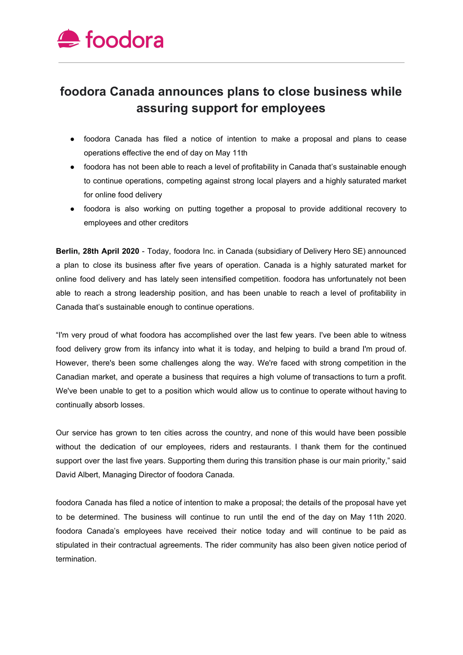

## **foodora Canada announces plans to close business while assuring support for employees**

- foodora Canada has filed a notice of intention to make a proposal and plans to cease operations effective the end of day on May 11th
- foodora has not been able to reach a level of profitability in Canada that's sustainable enough to continue operations, competing against strong local players and a highly saturated market for online food delivery
- foodora is also working on putting together a proposal to provide additional recovery to employees and other creditors

**Berlin, 28th April 2020** - Today, foodora Inc. in Canada (subsidiary of Delivery Hero SE) announced a plan to close its business after five years of operation. Canada is a highly saturated market for online food delivery and has lately seen intensified competition. foodora has unfortunately not been able to reach a strong leadership position, and has been unable to reach a level of profitability in Canada that's sustainable enough to continue operations.

"I'm very proud of what foodora has accomplished over the last few years. I've been able to witness food delivery grow from its infancy into what it is today, and helping to build a brand I'm proud of. However, there's been some challenges along the way. We're faced with strong competition in the Canadian market, and operate a business that requires a high volume of transactions to turn a profit. We've been unable to get to a position which would allow us to continue to operate without having to continually absorb losses.

Our service has grown to ten cities across the country, and none of this would have been possible without the dedication of our employees, riders and restaurants. I thank them for the continued support over the last five years. Supporting them during this transition phase is our main priority," said David Albert, Managing Director of foodora Canada.

foodora Canada has filed a notice of intention to make a proposal; the details of the proposal have yet to be determined. The business will continue to run until the end of the day on May 11th 2020. foodora Canada's employees have received their notice today and will continue to be paid as stipulated in their contractual agreements. The rider community has also been given notice period of termination.